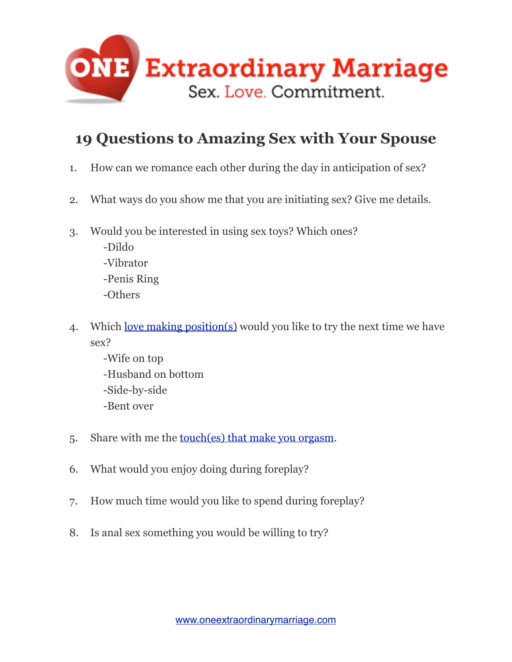

## **19 Questions to Amazing Sex with Your Spouse**

- 1. How can we romance each other during the day in anticipation of sex?
- 2. What ways do you show me that you are initiating sex? Give me details.
- 3. Would you be interested in using sex toys? Which ones?

 -Dildo -Vibrator -Penis Ring -Others

- 4. Which <u>love making position(s)</u> would you like to try the next time we have sex?
	- -Wife on top -Husband on bottom -Side-by-side -Bent over
- 5. Share with me the [touch\(es\) that make you orgasm.](http://www.oneextraordinarymarriage.com/135-the-power-of-touch)
- 6. What would you enjoy doing during foreplay?
- 7. How much time would you like to spend during foreplay?
- 8. Is anal sex something you would be willing to try?